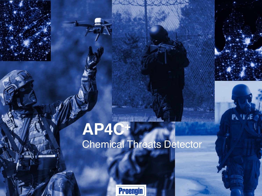# **AP4C+** Chemical Threats Detector

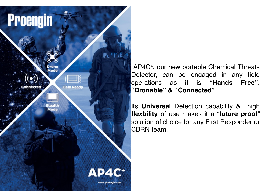**Proengin PUV** Mode **Field Ready** Connected **Stealth Mode** AP4C<sup>+</sup> www.proengin.com

AP4C+ , our new portable Chemical Threats Detector, can be engaged in any field operations as it is **"Hands Free", "Dronable" & "Connected"**.

Its **Universal** Detection capability & high **flexbility** of use makes it a "**future proof**" solution of choice for any First Responder or CBRN team.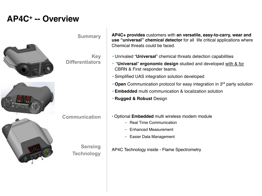### **AP4C+ -- Overview**

**Summary**

**Differentiators**

**Communication**

**Sensing**

**Technology**

**Key**





**AP4C+ provides** customers with **an versatile, easy-to-carry, wear and use "universal" chemical detector** for all life critical applications where Chemical threats could be faced.

- Unrivaled "**Universal**" chemical threats detection capabilities
- "**Universal**" **ergonomic design** studied and developed with & for CBRN & First responder teams.
- Simplified UAS integration solution developed
- **Open** Communication protocol for easy integration in 3rd party solution
- **Embedded** multi communication & localization solution
- **Rugged & Robust** Design
- Optional **Embedded** multi wireless modem module
	- Real Time Communication
	- Enhanced Measurement
	- Easier Data Management

AP4C Technology inside - Flame Spectrometry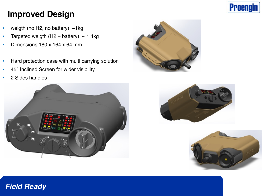

# **Improved Design**

- weigth (no H2, no battery):  $~1$ kg
- Targeted weigth  $(H2 + battery)$ : ~ 1.4kg
- Dimensions 180 x 164 x 64 mm
- Hard protection case with multi carrying solution
- 45° Inclined Screen for wider visibility
- 2 Sides handles









#### *Field Ready*